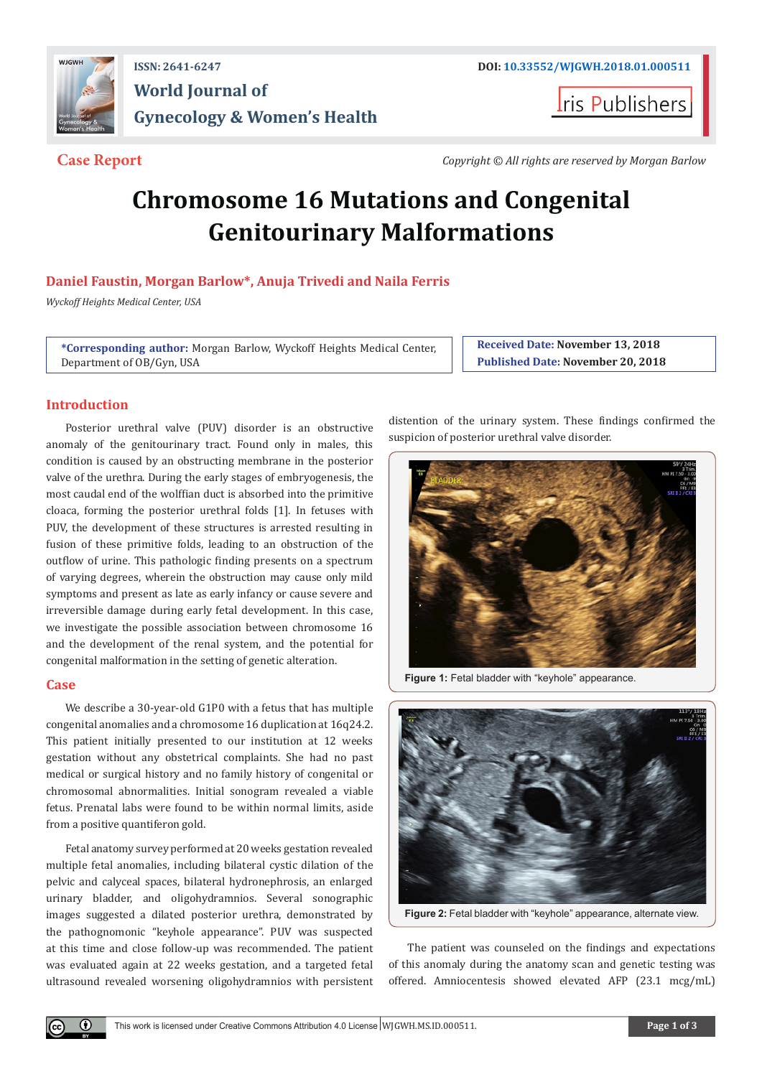

**ISSN: 2641-6247 DOI: [10.33552/WJGWH.2018.01.000511](http://dx.doi.org/10.33552/WJGWH.2018.01.000511) World Journal of Gynecology & Women's Health**

**Iris Publishers** 

**Case Report** *Copyright © All rights are reserved by Morgan Barlow*

# **Chromosome 16 Mutations and Congenital Genitourinary Malformations**

# **Daniel Faustin, Morgan Barlow\*, Anuja Trivedi and Naila Ferris**

*Wyckoff Heights Medical Center, USA*

**\*Corresponding author:** Morgan Barlow, Wyckoff Heights Medical Center, Department of OB/Gyn, USA

**Received Date: November 13, 2018 Published Date: November 20, 2018**

# **Introduction**

Posterior urethral valve (PUV) disorder is an obstructive anomaly of the genitourinary tract. Found only in males, this condition is caused by an obstructing membrane in the posterior valve of the urethra. During the early stages of embryogenesis, the most caudal end of the wolffian duct is absorbed into the primitive cloaca, forming the posterior urethral folds [1]. In fetuses with PUV, the development of these structures is arrested resulting in fusion of these primitive folds, leading to an obstruction of the outflow of urine. This pathologic finding presents on a spectrum of varying degrees, wherein the obstruction may cause only mild symptoms and present as late as early infancy or cause severe and irreversible damage during early fetal development. In this case, we investigate the possible association between chromosome 16 and the development of the renal system, and the potential for congenital malformation in the setting of genetic alteration.

# **Case**

 $\bf{G}$ 

We describe a 30-year-old G1P0 with a fetus that has multiple congenital anomalies and a chromosome 16 duplication at 16q24.2. This patient initially presented to our institution at 12 weeks gestation without any obstetrical complaints. She had no past medical or surgical history and no family history of congenital or chromosomal abnormalities. Initial sonogram revealed a viable fetus. Prenatal labs were found to be within normal limits, aside from a positive quantiferon gold.

Fetal anatomy survey performed at 20 weeks gestation revealed multiple fetal anomalies, including bilateral cystic dilation of the pelvic and calyceal spaces, bilateral hydronephrosis, an enlarged urinary bladder, and oligohydramnios. Several sonographic images suggested a dilated posterior urethra, demonstrated by the pathognomonic "keyhole appearance". PUV was suspected at this time and close follow-up was recommended. The patient was evaluated again at 22 weeks gestation, and a targeted fetal ultrasound revealed worsening oligohydramnios with persistent distention of the urinary system. These findings confirmed the suspicion of posterior urethral valve disorder.



**Figure 1:** Fetal bladder with "keyhole" appearance.



**Figure 2:** Fetal bladder with "keyhole" appearance, alternate view.

The patient was counseled on the findings and expectations of this anomaly during the anatomy scan and genetic testing was offered. Amniocentesis showed elevated AFP (23.1 mcg/mL)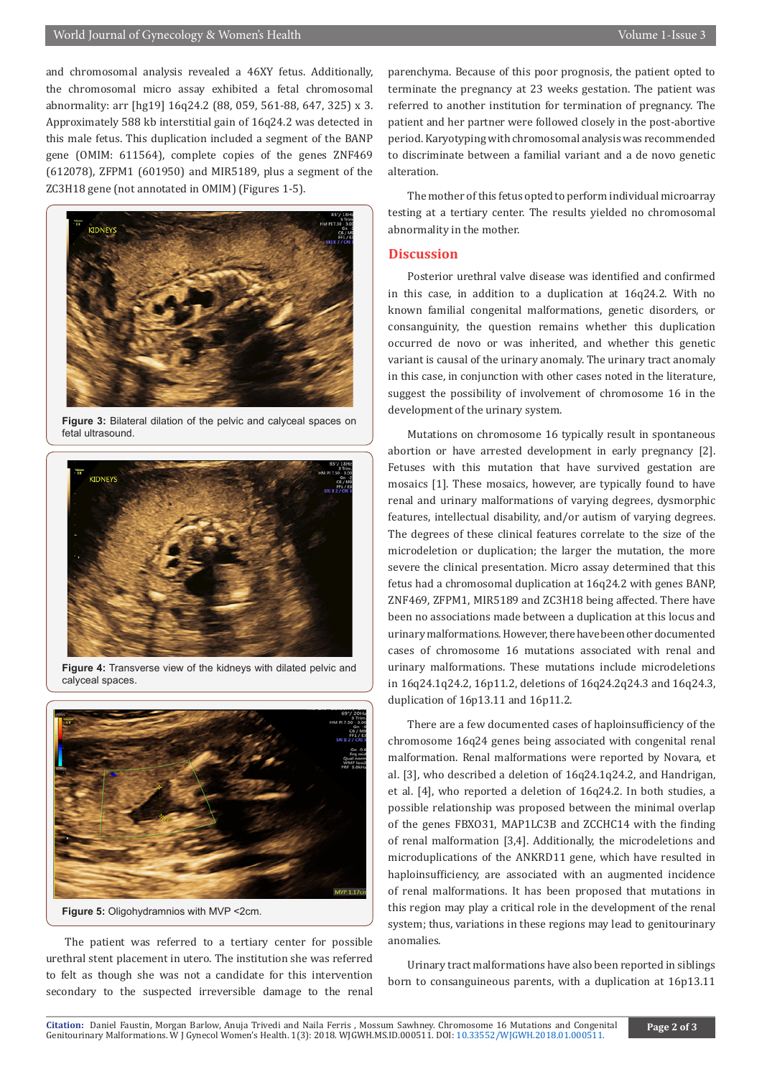and chromosomal analysis revealed a 46XY fetus. Additionally, the chromosomal micro assay exhibited a fetal chromosomal abnormality: arr [hg19] 16q24.2 (88, 059, 561-88, 647, 325) x 3. Approximately 588 kb interstitial gain of 16q24.2 was detected in this male fetus. This duplication included a segment of the BANP gene (OMIM: 611564), complete copies of the genes ZNF469 (612078), ZFPM1 (601950) and MIR5189, plus a segment of the ZC3H18 gene (not annotated in OMIM) (Figures 1-5).



**Figure 3:** Bilateral dilation of the pelvic and calyceal spaces on fetal ultrasound.



**Figure 4:** Transverse view of the kidneys with dilated pelvic and calyceal spaces.



The patient was referred to a tertiary center for possible urethral stent placement in utero. The institution she was referred to felt as though she was not a candidate for this intervention secondary to the suspected irreversible damage to the renal parenchyma. Because of this poor prognosis, the patient opted to terminate the pregnancy at 23 weeks gestation. The patient was referred to another institution for termination of pregnancy. The patient and her partner were followed closely in the post-abortive period. Karyotyping with chromosomal analysis was recommended to discriminate between a familial variant and a de novo genetic alteration.

The mother of this fetus opted to perform individual microarray testing at a tertiary center. The results yielded no chromosomal abnormality in the mother.

#### **Discussion**

Posterior urethral valve disease was identified and confirmed in this case, in addition to a duplication at 16q24.2. With no known familial congenital malformations, genetic disorders, or consanguinity, the question remains whether this duplication occurred de novo or was inherited, and whether this genetic variant is causal of the urinary anomaly. The urinary tract anomaly in this case, in conjunction with other cases noted in the literature, suggest the possibility of involvement of chromosome 16 in the development of the urinary system.

Mutations on chromosome 16 typically result in spontaneous abortion or have arrested development in early pregnancy [2]. Fetuses with this mutation that have survived gestation are mosaics [1]. These mosaics, however, are typically found to have renal and urinary malformations of varying degrees, dysmorphic features, intellectual disability, and/or autism of varying degrees. The degrees of these clinical features correlate to the size of the microdeletion or duplication; the larger the mutation, the more severe the clinical presentation. Micro assay determined that this fetus had a chromosomal duplication at 16q24.2 with genes BANP, ZNF469, ZFPM1, MIR5189 and ZC3H18 being affected. There have been no associations made between a duplication at this locus and urinary malformations. However, there have been other documented cases of chromosome 16 mutations associated with renal and urinary malformations. These mutations include microdeletions in 16q24.1q24.2, 16p11.2, deletions of 16q24.2q24.3 and 16q24.3, duplication of 16p13.11 and 16p11.2.

There are a few documented cases of haploinsufficiency of the chromosome 16q24 genes being associated with congenital renal malformation. Renal malformations were reported by Novara, et al. [3], who described a deletion of 16q24.1q24.2, and Handrigan, et al. [4], who reported a deletion of 16q24.2. In both studies, a possible relationship was proposed between the minimal overlap of the genes FBXO31, MAP1LC3B and ZCCHC14 with the finding of renal malformation [3,4]. Additionally, the microdeletions and microduplications of the ANKRD11 gene, which have resulted in haploinsufficiency, are associated with an augmented incidence of renal malformations. It has been proposed that mutations in this region may play a critical role in the development of the renal system; thus, variations in these regions may lead to genitourinary anomalies.

Urinary tract malformations have also been reported in siblings born to consanguineous parents, with a duplication at 16p13.11